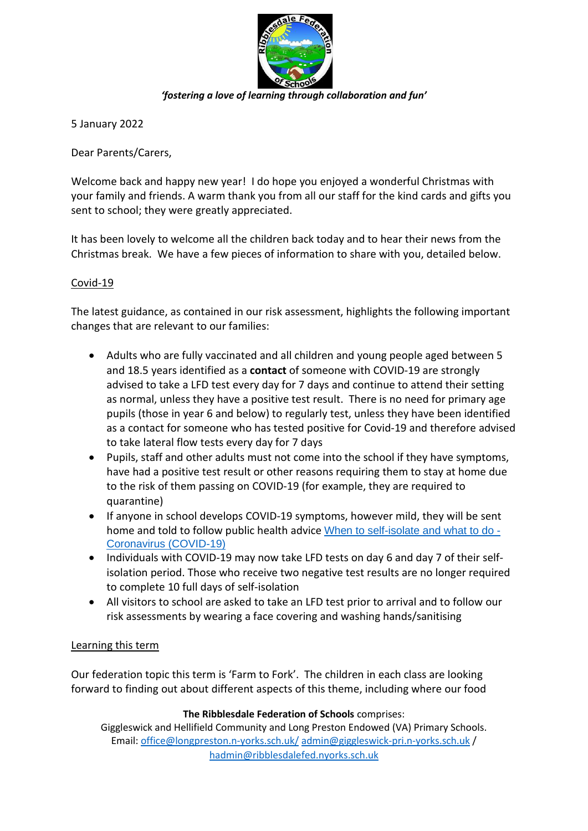

*'fostering a love of learning through collaboration and fun'*

5 January 2022

Dear Parents/Carers,

Welcome back and happy new year! I do hope you enjoyed a wonderful Christmas with your family and friends. A warm thank you from all our staff for the kind cards and gifts you sent to school; they were greatly appreciated.

It has been lovely to welcome all the children back today and to hear their news from the Christmas break. We have a few pieces of information to share with you, detailed below.

## Covid-19

The latest guidance, as contained in our risk assessment, highlights the following important changes that are relevant to our families:

- Adults who are fully vaccinated and all children and young people aged between 5 and 18.5 years identified as a **contact** of someone with COVID-19 are strongly advised to take a LFD test every day for 7 days and continue to attend their setting as normal, unless they have a positive test result. There is no need for primary age pupils (those in year 6 and below) to regularly test, unless they have been identified as a contact for someone who has tested positive for Covid-19 and therefore advised to take lateral flow tests every day for 7 days
- Pupils, staff and other adults must not come into the school if they have symptoms, have had a positive test result or other reasons requiring them to stay at home due to the risk of them passing on COVID-19 (for example, they are required to quarantine)
- If anyone in school develops COVID-19 symptoms, however mild, they will be sent home and told to follow public health advice [When to self-isolate and what to do -](https://www.nhs.uk/conditions/coronavirus-covid-19/self-isolation-and-treatment/when-to-self-isolate-and-what-to-do/) [Coronavirus \(COVID-19\)](https://www.nhs.uk/conditions/coronavirus-covid-19/self-isolation-and-treatment/when-to-self-isolate-and-what-to-do/)
- Individuals with COVID-19 may now take LFD tests on day 6 and day 7 of their selfisolation period. Those who receive two negative test results are no longer required to complete 10 full days of self-isolation
- All visitors to school are asked to take an LFD test prior to arrival and to follow our risk assessments by wearing a face covering and washing hands/sanitising

## Learning this term

Our federation topic this term is 'Farm to Fork'. The children in each class are looking forward to finding out about different aspects of this theme, including where our food

**The Ribblesdale Federation of Schools** comprises:

Giggleswick and Hellifield Community and Long Preston Endowed (VA) Primary Schools. Email[: office@longpreston.n-yorks.sch.uk/](mailto:office@longpreston.n-yorks.sch.uk/) [admin@giggleswick-pri.n-yorks.sch.uk](mailto:admin@giggleswick-pri.n-yorks.sch.uk) / [hadmin@ribblesdalefed.nyorks.sch.uk](mailto:hadmin@ribblesdalefed.nyorks.sch.uk)